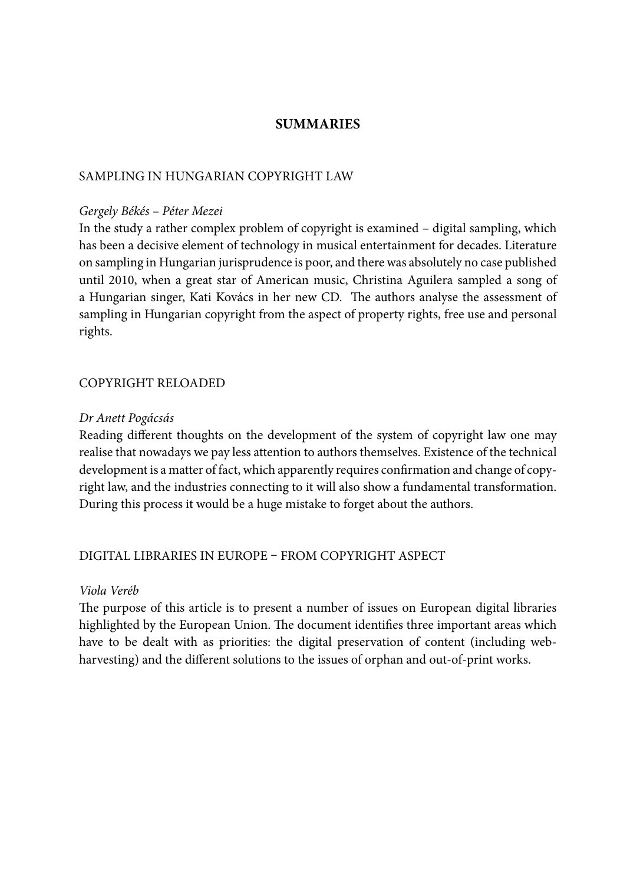# **SUMMARIES**

## SAMPLING IN HUNGARIAN COPYRIGHT LAW

#### *Gergely Békés – Péter Mezei*

In the study a rather complex problem of copyright is examined – digital sampling, which has been a decisive element of technology in musical entertainment for decades. Literature on sampling in Hungarian jurisprudence is poor, and there was absolutely no case published until 2010, when a great star of American music, Christina Aguilera sampled a song of a Hungarian singer, Kati Kovács in her new CD. The authors analyse the assessment of sampling in Hungarian copyright from the aspect of property rights, free use and personal rights.

## COPYRIGHT RELOADED

#### *Dr Anett Pogácsás*

Reading different thoughts on the development of the system of copyright law one may realise that nowadays we pay less attention to authors themselves. Existence of the technical development is a matter of fact, which apparently requires confirmation and change of copyright law, and the industries connecting to it will also show a fundamental transformation. During this process it would be a huge mistake to forget about the authors.

## DIGITAL LIBRARIES IN EUROPE – FROM COPYRIGHT ASPECT

### *Viola Veréb*

The purpose of this article is to present a number of issues on European digital libraries highlighted by the European Union. The document identifies three important areas which have to be dealt with as priorities: the digital preservation of content (including webharvesting) and the different solutions to the issues of orphan and out-of-print works.